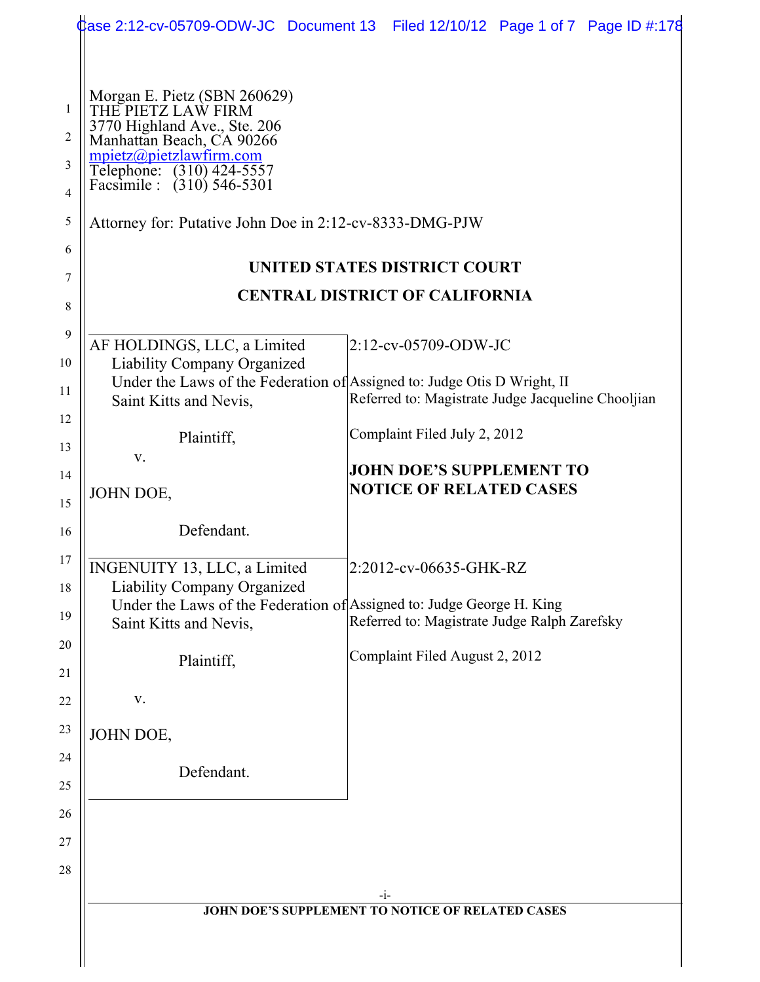|                                        |                                                                                                                                                                                                       | Case 2:12-cv-05709-ODW-JC Document 13 Filed 12/10/12 Page 1 of 7 Page ID #:178                           |
|----------------------------------------|-------------------------------------------------------------------------------------------------------------------------------------------------------------------------------------------------------|----------------------------------------------------------------------------------------------------------|
| 1<br>2<br>3<br>4                       | Morgan E. Pietz (SBN 260629)<br>THE PIETZ LAW FIRM<br>3770 Highland Ave., Ste. 206<br>Manhattan Beach, CA 90266<br>mpietz@pietzlawfirm.com<br>Telephone: (310) 424-5557<br>Facsimile : (310) 546-5301 |                                                                                                          |
| 5<br>6                                 | Attorney for: Putative John Doe in 2:12-cv-8333-DMG-PJW                                                                                                                                               |                                                                                                          |
| 7                                      |                                                                                                                                                                                                       | UNITED STATES DISTRICT COURT                                                                             |
| 8                                      |                                                                                                                                                                                                       | <b>CENTRAL DISTRICT OF CALIFORNIA</b>                                                                    |
| 9<br>10                                | AF HOLDINGS, LLC, a Limited<br>Liability Company Organized                                                                                                                                            | $2:12$ -cv-05709-ODW-JC                                                                                  |
| 11                                     | Under the Laws of the Federation of Assigned to: Judge Otis D Wright, II<br>Saint Kitts and Nevis,                                                                                                    | Referred to: Magistrate Judge Jacqueline Chooljian                                                       |
| 12<br>13                               | Plaintiff,                                                                                                                                                                                            | Complaint Filed July 2, 2012                                                                             |
| 14<br>15                               | V.<br>JOHN DOE,                                                                                                                                                                                       | <b>JOHN DOE'S SUPPLEMENT TO</b><br><b>NOTICE OF RELATED CASES</b>                                        |
| 16                                     | Defendant.                                                                                                                                                                                            |                                                                                                          |
| 17<br>18<br>19<br>20<br>21<br>22<br>23 | INGENUITY 13, LLC, a Limited<br>Liability Company Organized<br>Under the Laws of the Federation of Assigned to: Judge George H. King<br>Saint Kitts and Nevis,<br>Plaintiff,<br>V.                    | 2:2012-cv-06635-GHK-RZ<br>Referred to: Magistrate Judge Ralph Zarefsky<br>Complaint Filed August 2, 2012 |
| 24                                     | JOHN DOE,                                                                                                                                                                                             |                                                                                                          |
| 25                                     | Defendant.                                                                                                                                                                                            |                                                                                                          |
| 26                                     |                                                                                                                                                                                                       |                                                                                                          |
| 27                                     |                                                                                                                                                                                                       |                                                                                                          |
| 28                                     |                                                                                                                                                                                                       |                                                                                                          |
|                                        |                                                                                                                                                                                                       | -i-<br>JOHN DOE'S SUPPLEMENT TO NOTICE OF RELATED CASES                                                  |
|                                        |                                                                                                                                                                                                       |                                                                                                          |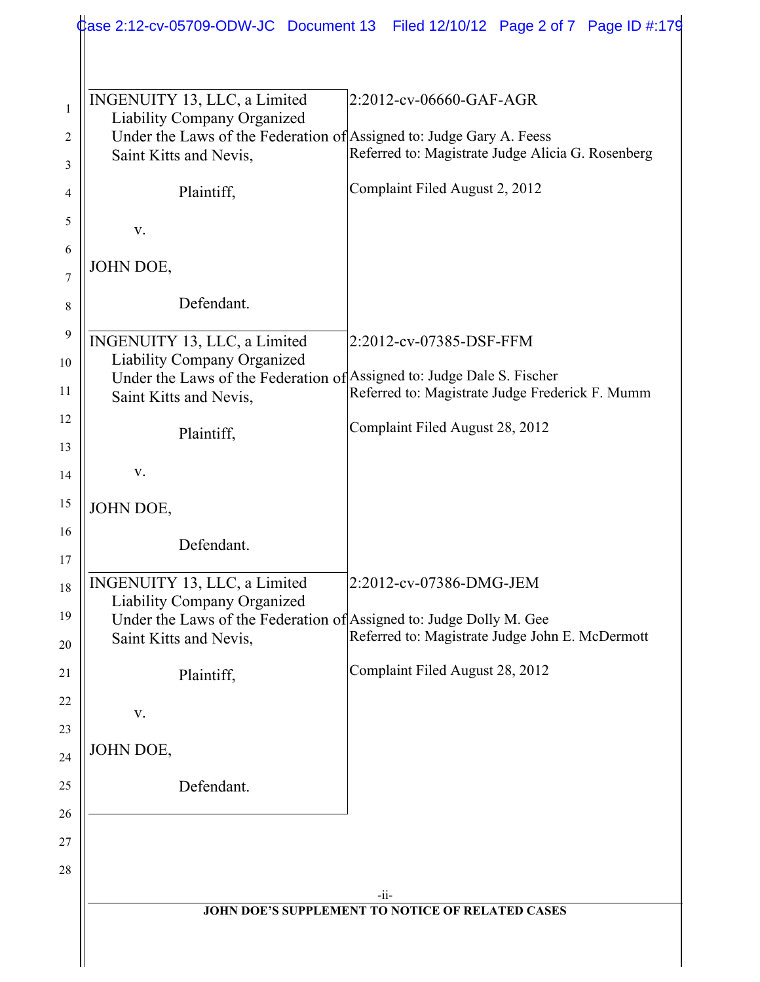| INGENUITY 13, LLC, a Limited                                           | 2:2012-cv-06660-GAF-AGR                           |
|------------------------------------------------------------------------|---------------------------------------------------|
| <b>Liability Company Organized</b>                                     |                                                   |
| Under the Laws of the Federation of Assigned to: Judge Gary A. Feess   |                                                   |
| Saint Kitts and Nevis,                                                 | Referred to: Magistrate Judge Alicia G. Rosenberg |
| Plaintiff,                                                             | Complaint Filed August 2, 2012                    |
| V.                                                                     |                                                   |
|                                                                        |                                                   |
| JOHN DOE,                                                              |                                                   |
| Defendant.                                                             |                                                   |
| INGENUITY 13, LLC, a Limited                                           | 2:2012-cv-07385-DSF-FFM                           |
| <b>Liability Company Organized</b>                                     |                                                   |
| Under the Laws of the Federation of Assigned to: Judge Dale S. Fischer | Referred to: Magistrate Judge Frederick F. Mumm   |
| Saint Kitts and Nevis,                                                 |                                                   |
| Plaintiff,                                                             | Complaint Filed August 28, 2012                   |
|                                                                        |                                                   |
| V.                                                                     |                                                   |
| JOHN DOE,                                                              |                                                   |
| Defendant.                                                             |                                                   |
|                                                                        |                                                   |
| INGENUITY 13, LLC, a Limited                                           | 2:2012-cv-07386-DMG-JEM                           |
| <b>Liability Company Organized</b>                                     |                                                   |
| Under the Laws of the Federation of Assigned to: Judge Dolly M. Gee    | Referred to: Magistrate Judge John E. McDermott   |
| Saint Kitts and Nevis,                                                 |                                                   |
| Plaintiff,                                                             | Complaint Filed August 28, 2012                   |
|                                                                        |                                                   |
| V.                                                                     |                                                   |
| JOHN DOE,                                                              |                                                   |
|                                                                        |                                                   |
| Defendant.                                                             |                                                   |
|                                                                        |                                                   |
|                                                                        |                                                   |
|                                                                        | $-ii-$                                            |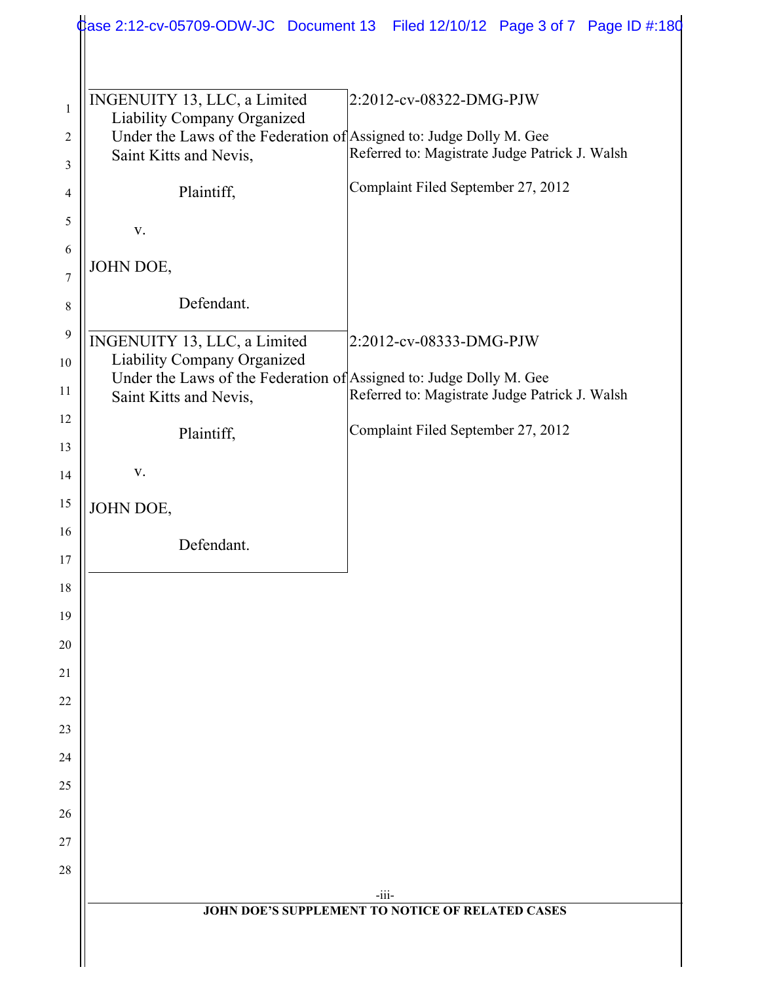|                              |                             |                                                                     | Case 2:12-cv-05709-ODW-JC Document 13 Filed 12/10/12 Page 3 of 7 Page ID #:180 |  |
|------------------------------|-----------------------------|---------------------------------------------------------------------|--------------------------------------------------------------------------------|--|
|                              |                             |                                                                     |                                                                                |  |
| INGENUITY 13, LLC, a Limited | Liability Company Organized | Under the Laws of the Federation of Assigned to: Judge Dolly M. Gee | 2:2012-cv-08322-DMG-PJW                                                        |  |
| Saint Kitts and Nevis,       |                             |                                                                     | Referred to: Magistrate Judge Patrick J. Walsh                                 |  |
|                              | Plaintiff,                  |                                                                     | Complaint Filed September 27, 2012                                             |  |
| V.                           |                             |                                                                     |                                                                                |  |
| JOHN DOE,                    |                             |                                                                     |                                                                                |  |
|                              | Defendant.                  |                                                                     |                                                                                |  |
| INGENUITY 13, LLC, a Limited | Liability Company Organized |                                                                     | 2:2012-cv-08333-DMG-PJW                                                        |  |
| Saint Kitts and Nevis,       |                             | Under the Laws of the Federation of Assigned to: Judge Dolly M. Gee | Referred to: Magistrate Judge Patrick J. Walsh                                 |  |
|                              | Plaintiff,                  |                                                                     | Complaint Filed September 27, 2012                                             |  |
| V.                           |                             |                                                                     |                                                                                |  |
| JOHN DOE,                    |                             |                                                                     |                                                                                |  |
|                              | Defendant.                  |                                                                     |                                                                                |  |
|                              |                             |                                                                     |                                                                                |  |
|                              |                             |                                                                     |                                                                                |  |
|                              |                             |                                                                     |                                                                                |  |
|                              |                             |                                                                     |                                                                                |  |
|                              |                             |                                                                     |                                                                                |  |
|                              |                             |                                                                     |                                                                                |  |
|                              |                             |                                                                     |                                                                                |  |
|                              |                             |                                                                     |                                                                                |  |
|                              |                             |                                                                     |                                                                                |  |
|                              |                             |                                                                     |                                                                                |  |
|                              |                             | $-iii$                                                              |                                                                                |  |
|                              |                             | JOHN DOE'S SUPPLEMENT TO NOTICE OF RELATED CASES                    |                                                                                |  |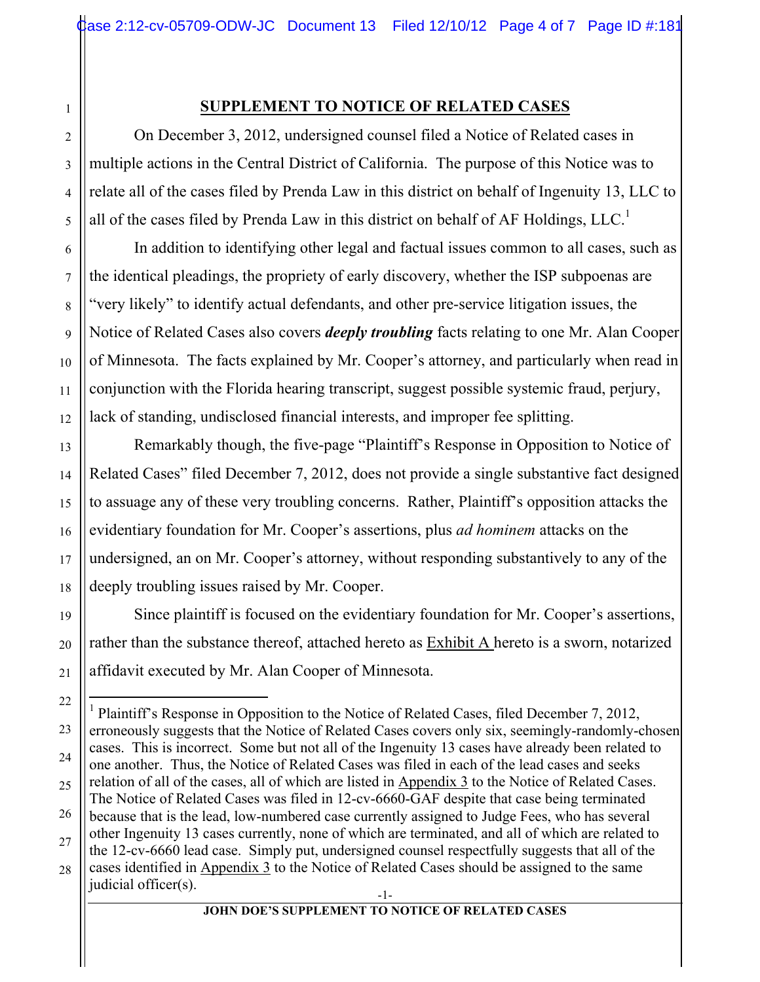## **SUPPLEMENT TO NOTICE OF RELATED CASES**

On December 3, 2012, undersigned counsel filed a Notice of Related cases in multiple actions in the Central District of California. The purpose of this Notice was to relate all of the cases filed by Prenda Law in this district on behalf of Ingenuity 13, LLC to all of the cases filed by Prenda Law in this district on behalf of AF Holdings,  $LLC<sup>1</sup>$ 

In addition to identifying other legal and factual issues common to all cases, such as the identical pleadings, the propriety of early discovery, whether the ISP subpoenas are "very likely" to identify actual defendants, and other pre-service litigation issues, the Notice of Related Cases also covers *deeply troubling* facts relating to one Mr. Alan Cooper of Minnesota. The facts explained by Mr. Cooper's attorney, and particularly when read in conjunction with the Florida hearing transcript, suggest possible systemic fraud, perjury, lack of standing, undisclosed financial interests, and improper fee splitting.

Remarkably though, the five-page "Plaintiff's Response in Opposition to Notice of Related Cases" filed December 7, 2012, does not provide a single substantive fact designed to assuage any of these very troubling concerns. Rather, Plaintiff's opposition attacks the evidentiary foundation for Mr. Cooper's assertions, plus *ad hominem* attacks on the undersigned, an on Mr. Cooper's attorney, without responding substantively to any of the deeply troubling issues raised by Mr. Cooper.

Since plaintiff is focused on the evidentiary foundation for Mr. Cooper's assertions, rather than the substance thereof, attached hereto as Exhibit A hereto is a sworn, notarized affidavit executed by Mr. Alan Cooper of Minnesota.

1

<sup>-1-</sup> |<br>|<br>| <sup>1</sup> Plaintiff's Response in Opposition to the Notice of Related Cases, filed December 7, 2012, erroneously suggests that the Notice of Related Cases covers only six, seemingly-randomly-chosen cases. This is incorrect. Some but not all of the Ingenuity 13 cases have already been related to one another. Thus, the Notice of Related Cases was filed in each of the lead cases and seeks relation of all of the cases, all of which are listed in Appendix 3 to the Notice of Related Cases. The Notice of Related Cases was filed in 12-cv-6660-GAF despite that case being terminated because that is the lead, low-numbered case currently assigned to Judge Fees, who has several other Ingenuity 13 cases currently, none of which are terminated, and all of which are related to the 12-cv-6660 lead case. Simply put, undersigned counsel respectfully suggests that all of the cases identified in Appendix 3 to the Notice of Related Cases should be assigned to the same judicial officer(s).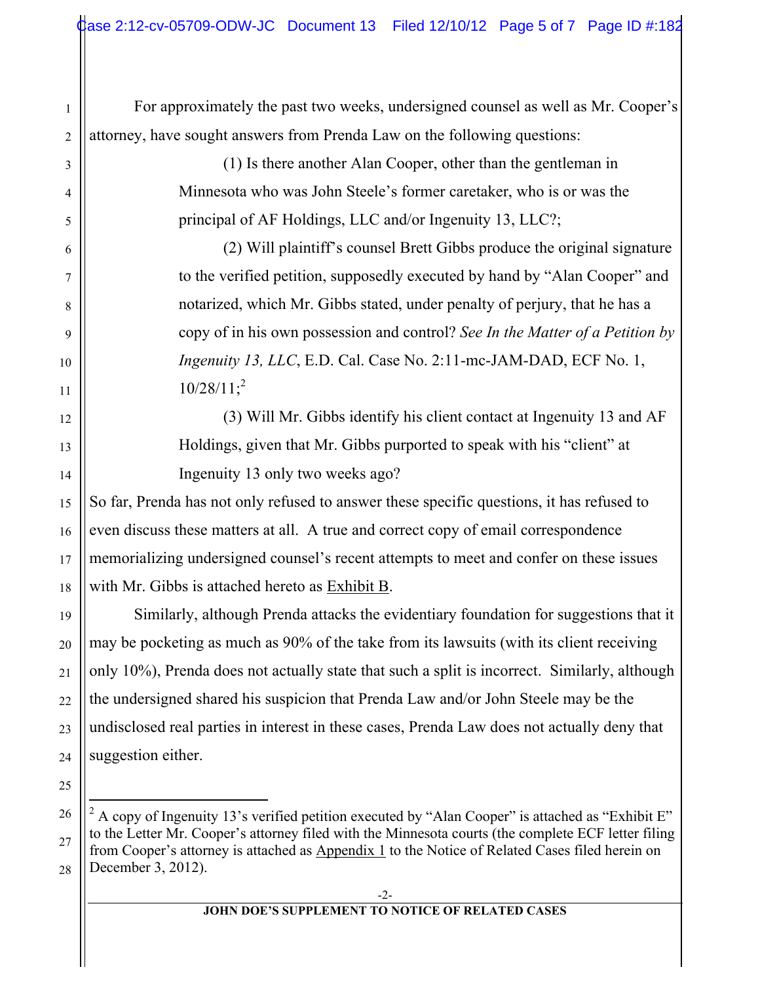For approximately the past two weeks, undersigned counsel as well as Mr. Cooper's attorney, have sought answers from Prenda Law on the following questions:

1

2

3

4

5

6

7

8

9

10

11

12

13

14

15

16

17

18

19

20

21

22

23

24

25

(1) Is there another Alan Cooper, other than the gentleman in Minnesota who was John Steele's former caretaker, who is or was the principal of AF Holdings, LLC and/or Ingenuity 13, LLC?;

(2) Will plaintiff's counsel Brett Gibbs produce the original signature to the verified petition, supposedly executed by hand by "Alan Cooper" and notarized, which Mr. Gibbs stated, under penalty of perjury, that he has a copy of in his own possession and control? *See In the Matter of a Petition by Ingenuity 13, LLC*, E.D. Cal. Case No. 2:11-mc-JAM-DAD, ECF No. 1,  $10/28/11$ ;<sup>2</sup>

(3) Will Mr. Gibbs identify his client contact at Ingenuity 13 and AF Holdings, given that Mr. Gibbs purported to speak with his "client" at Ingenuity 13 only two weeks ago?

So far, Prenda has not only refused to answer these specific questions, it has refused to even discuss these matters at all. A true and correct copy of email correspondence memorializing undersigned counsel's recent attempts to meet and confer on these issues with Mr. Gibbs is attached hereto as Exhibit B.

Similarly, although Prenda attacks the evidentiary foundation for suggestions that it may be pocketing as much as 90% of the take from its lawsuits (with its client receiving only 10%), Prenda does not actually state that such a split is incorrect. Similarly, although the undersigned shared his suspicion that Prenda Law and/or John Steele may be the undisclosed real parties in interest in these cases, Prenda Law does not actually deny that suggestion either.

## **JOHN DOE'S SUPPLEMENT TO NOTICE OF RELATED CASES**

<sup>26</sup> 27 28  $\frac{1}{2}$ <sup>2</sup> A copy of Ingenuity 13's verified petition executed by "Alan Cooper" is attached as "Exhibit E" to the Letter Mr. Cooper's attorney filed with the Minnesota courts (the complete ECF letter filing from Cooper's attorney is attached as Appendix 1 to the Notice of Related Cases filed herein on December 3, 2012).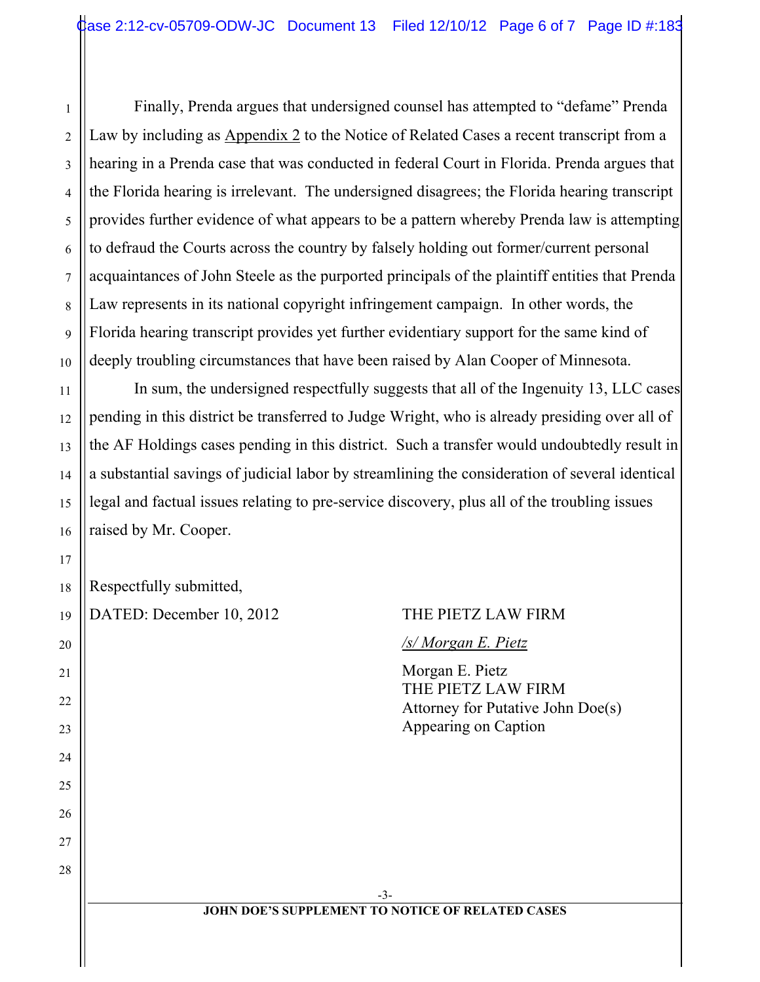Finally, Prenda argues that undersigned counsel has attempted to "defame" Prenda Law by including as Appendix 2 to the Notice of Related Cases a recent transcript from a hearing in a Prenda case that was conducted in federal Court in Florida. Prenda argues that the Florida hearing is irrelevant. The undersigned disagrees; the Florida hearing transcript provides further evidence of what appears to be a pattern whereby Prenda law is attempting to defraud the Courts across the country by falsely holding out former/current personal acquaintances of John Steele as the purported principals of the plaintiff entities that Prenda Law represents in its national copyright infringement campaign. In other words, the Florida hearing transcript provides yet further evidentiary support for the same kind of deeply troubling circumstances that have been raised by Alan Cooper of Minnesota.

In sum, the undersigned respectfully suggests that all of the Ingenuity 13, LLC cases pending in this district be transferred to Judge Wright, who is already presiding over all of the AF Holdings cases pending in this district. Such a transfer would undoubtedly result in a substantial savings of judicial labor by streamlining the consideration of several identical legal and factual issues relating to pre-service discovery, plus all of the troubling issues raised by Mr. Cooper.

|  | $\left\ $ Respectfully submitted, |
|--|-----------------------------------|
|--|-----------------------------------|

| DATED: December 10, 2012 | THE PIETZ LAW FIRM                                                                                 |
|--------------------------|----------------------------------------------------------------------------------------------------|
|                          | /s/ Morgan E. Pietz                                                                                |
|                          | Morgan E. Pietz<br>THE PIETZ LAW FIRM<br>Attorney for Putative John Doe(s)<br>Appearing on Caption |
|                          |                                                                                                    |
|                          |                                                                                                    |
|                          | $-3-$                                                                                              |
|                          | <b>JOHN DOE'S SUPPLEMENT TO NOTICE OF RELATED CASES</b>                                            |

1

2